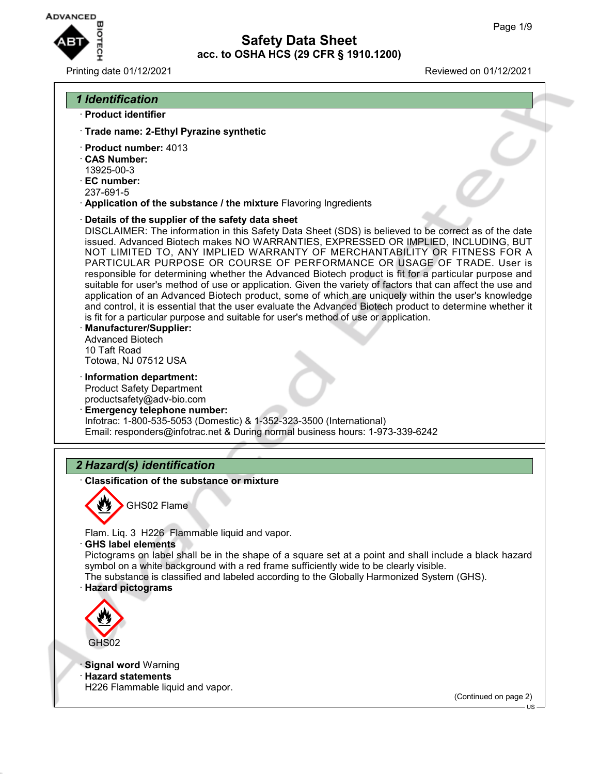

#### Printing date 01/12/2021 Reviewed on 01/12/2021



- · **Product identifier**
- · **Trade name: 2-Ethyl Pyrazine synthetic**
- · **Product number:** 4013
- · **CAS Number:**
- 13925-00-3
- · **EC number:**
- 237-691-5
- · **Application of the substance / the mixture** Flavoring Ingredients
- · **Details of the supplier of the safety data sheet**

DISCLAIMER: The information in this Safety Data Sheet (SDS) is believed to be correct as of the date issued. Advanced Biotech makes NO WARRANTIES, EXPRESSED OR IMPLIED, INCLUDING, BUT NOT LIMITED TO, ANY IMPLIED WARRANTY OF MERCHANTABILITY OR FITNESS FOR A PARTICULAR PURPOSE OR COURSE OF PERFORMANCE OR USAGE OF TRADE. User is responsible for determining whether the Advanced Biotech product is fit for a particular purpose and suitable for user's method of use or application. Given the variety of factors that can affect the use and application of an Advanced Biotech product, some of which are uniquely within the user's knowledge and control, it is essential that the user evaluate the Advanced Biotech product to determine whether it is fit for a particular purpose and suitable for user's method of use or application.

- · **Manufacturer/Supplier:** Advanced Biotech 10 Taft Road Totowa, NJ 07512 USA
- · **Information department:** Product Safety Department productsafety@adv-bio.com
- · **Emergency telephone number:** Infotrac: 1-800-535-5053 (Domestic) & 1-352-323-3500 (International) Email: responders@infotrac.net & During normal business hours: 1-973-339-6242

### *2 Hazard(s) identification*

· **Classification of the substance or mixture**



GHS02 Flame

Flam. Liq. 3 H226 Flammable liquid and vapor.

· **GHS label elements**

Pictograms on label shall be in the shape of a square set at a point and shall include a black hazard symbol on a white background with a red frame sufficiently wide to be clearly visible.

The substance is classified and labeled according to the Globally Harmonized System (GHS). · **Hazard pictograms**



**Signal word Warning** · **Hazard statements** H226 Flammable liquid and vapor.

(Continued on page 2)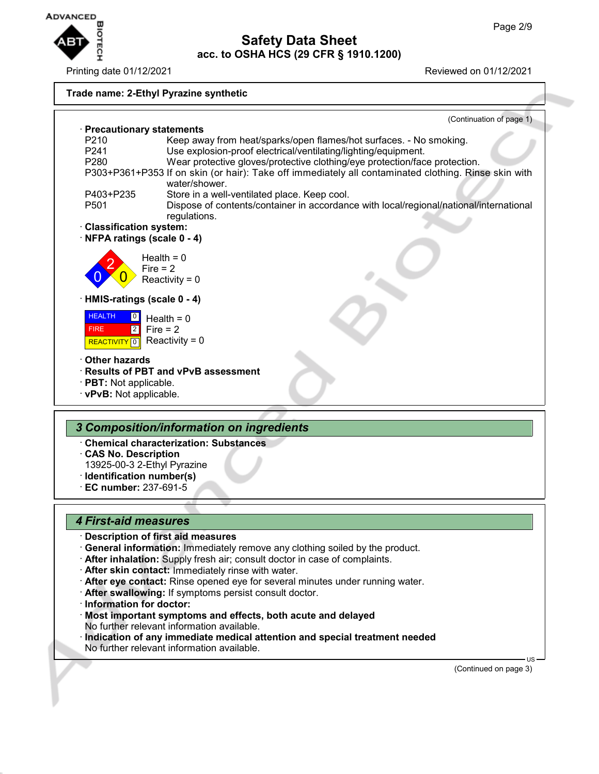

Printing date 01/12/2021 Reviewed on 01/12/2021

#### **Trade name: 2-Ethyl Pyrazine synthetic**



- 
- · **CAS No. Description**
- 13925-00-3 2-Ethyl Pyrazine · **Identification number(s)**
- · **EC number:** 237-691-5

### *4 First-aid measures*

- · **Description of first aid measures**
- · **General information:** Immediately remove any clothing soiled by the product.
- · **After inhalation:** Supply fresh air; consult doctor in case of complaints.
- · **After skin contact:** Immediately rinse with water.
- · **After eye contact:** Rinse opened eye for several minutes under running water.
- · **After swallowing:** If symptoms persist consult doctor.
- · **Information for doctor:**
- · **Most important symptoms and effects, both acute and delayed** No further relevant information available.
- · **Indication of any immediate medical attention and special treatment needed** No further relevant information available.

(Continued on page 3)

US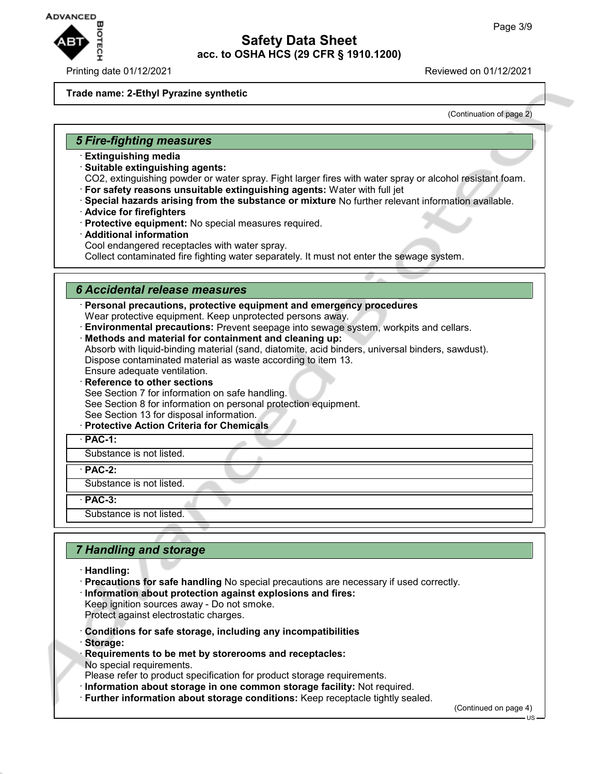

#### **Trade name: 2-Ethyl Pyrazine synthetic**

(Continuation of page 2)

#### *5 Fire-fighting measures*

- · **Extinguishing media**
- · **Suitable extinguishing agents:**

CO2, extinguishing powder or water spray. Fight larger fires with water spray or alcohol resistant foam. · **For safety reasons unsuitable extinguishing agents:** Water with full jet

- · **Special hazards arising from the substance or mixture** No further relevant information available.
- · **Advice for firefighters**
- · **Protective equipment:** No special measures required.
- · **Additional information**

Cool endangered receptacles with water spray.

Collect contaminated fire fighting water separately. It must not enter the sewage system.

### *6 Accidental release measures*

· **Personal precautions, protective equipment and emergency procedures** Wear protective equipment. Keep unprotected persons away.

- · **Environmental precautions:** Prevent seepage into sewage system, workpits and cellars.
- · **Methods and material for containment and cleaning up:**

Absorb with liquid-binding material (sand, diatomite, acid binders, universal binders, sawdust). Dispose contaminated material as waste according to item 13.

- Ensure adequate ventilation.
- **Reference to other sections**

See Section 7 for information on safe handling.

- See Section 8 for information on personal protection equipment. See Section 13 for disposal information.
- · **Protective Action Criteria for Chemicals**
- · **PAC-1:**

Substance is not listed.

· **PAC-2:**

Substance is not listed.

· **PAC-3:**

Substance is not listed.

### *7 Handling and storage*

- · **Handling:**
- · **Precautions for safe handling** No special precautions are necessary if used correctly.
- · **Information about protection against explosions and fires:**
- Keep ignition sources away Do not smoke. Protect against electrostatic charges.
- · **Conditions for safe storage, including any incompatibilities**
- · **Storage:**
- · **Requirements to be met by storerooms and receptacles:** No special requirements.
- Please refer to product specification for product storage requirements.
- · **Information about storage in one common storage facility:** Not required.
- · **Further information about storage conditions:** Keep receptacle tightly sealed.

(Continued on page 4)

US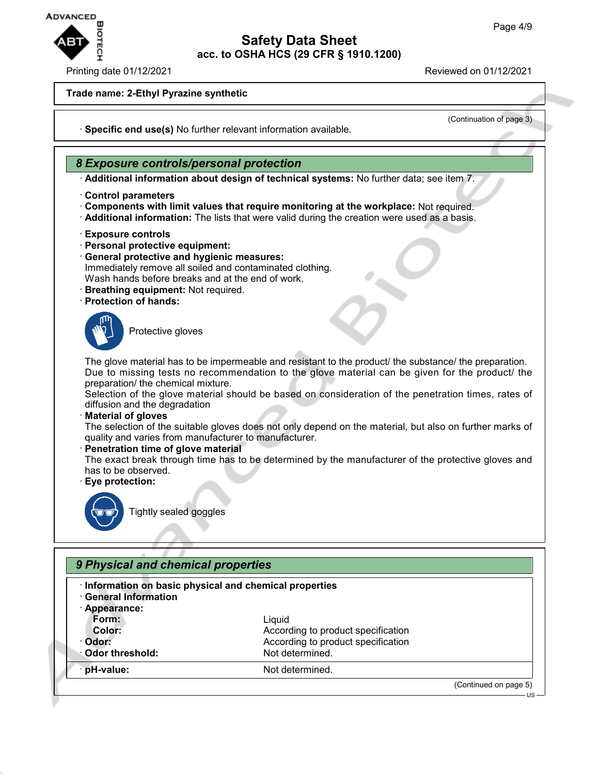

#### Printing date 01/12/2021 Reviewed on 01/12/2021

#### **Trade name: 2-Ethyl Pyrazine synthetic**

(Continuation of page 3)

· **Specific end use(s)** No further relevant information available.

#### *8 Exposure controls/personal protection*

· **Additional information about design of technical systems:** No further data; see item 7.

- · **Control parameters**
- · **Components with limit values that require monitoring at the workplace:** Not required.
- · **Additional information:** The lists that were valid during the creation were used as a basis.
- · **Exposure controls**
- · **Personal protective equipment:**
- · **General protective and hygienic measures:**
- Immediately remove all soiled and contaminated clothing.
- Wash hands before breaks and at the end of work.
- · **Breathing equipment:** Not required.
- · **Protection of hands:**



Protective gloves

The glove material has to be impermeable and resistant to the product/ the substance/ the preparation. Due to missing tests no recommendation to the glove material can be given for the product/ the preparation/ the chemical mixture.

Selection of the glove material should be based on consideration of the penetration times, rates of diffusion and the degradation

· **Material of gloves**

The selection of the suitable gloves does not only depend on the material, but also on further marks of quality and varies from manufacturer to manufacturer.

#### · **Penetration time of glove material**

The exact break through time has to be determined by the manufacturer of the protective gloves and has to be observed.

· **Eye protection:**



Tightly sealed goggles

| Information on basic physical and chemical properties |                                    |  |  |
|-------------------------------------------------------|------------------------------------|--|--|
| <b>General Information</b><br>· Appearance:           |                                    |  |  |
| Form:                                                 | Liquid                             |  |  |
| Color:                                                | According to product specification |  |  |
| Odor:                                                 | According to product specification |  |  |
| ∴Odor threshold:                                      | Not determined.                    |  |  |
| pH-value:                                             | Not determined.                    |  |  |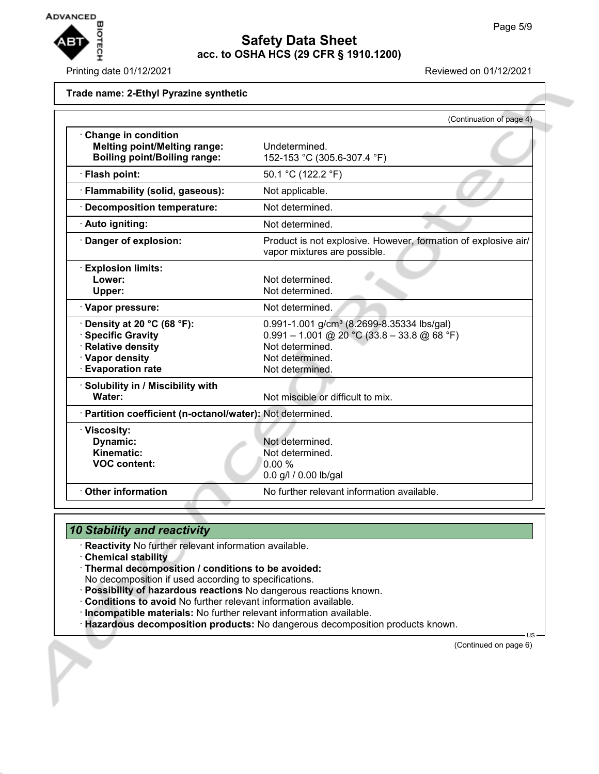

Printing date 01/12/2021 Reviewed on 01/12/2021

#### **Trade name: 2-Ethyl Pyrazine synthetic**

|                                                                                                                             | (Continuation of page 4)                                                                                                                                         |
|-----------------------------------------------------------------------------------------------------------------------------|------------------------------------------------------------------------------------------------------------------------------------------------------------------|
| Change in condition<br><b>Melting point/Melting range:</b><br><b>Boiling point/Boiling range:</b>                           | Undetermined.<br>152-153 °C (305.6-307.4 °F)                                                                                                                     |
| · Flash point:                                                                                                              | 50.1 °C (122.2 °F)                                                                                                                                               |
| · Flammability (solid, gaseous):                                                                                            | Not applicable.                                                                                                                                                  |
| · Decomposition temperature:                                                                                                | Not determined.                                                                                                                                                  |
| · Auto igniting:                                                                                                            | Not determined.                                                                                                                                                  |
| Danger of explosion:                                                                                                        | Product is not explosive. However, formation of explosive air/<br>vapor mixtures are possible.                                                                   |
| · Explosion limits:<br>Lower:<br>Upper:                                                                                     | Not determined.<br>Not determined.                                                                                                                               |
| · Vapor pressure:                                                                                                           | Not determined.                                                                                                                                                  |
| $\cdot$ Density at 20 °C (68 °F):<br>· Specific Gravity<br>· Relative density<br>· Vapor density<br><b>Evaporation rate</b> | 0.991-1.001 g/cm <sup>3</sup> (8.2699-8.35334 lbs/gal)<br>$0.991 - 1.001$ @ 20 °C (33.8 - 33.8 @ 68 °F)<br>Not determined.<br>Not determined.<br>Not determined. |
| · Solubility in / Miscibility with<br>Water:                                                                                | Not miscible or difficult to mix.                                                                                                                                |
| · Partition coefficient (n-octanol/water): Not determined.                                                                  |                                                                                                                                                                  |
| · Viscosity:<br>Dynamic:<br>Kinematic:<br><b>VOC content:</b>                                                               | Not determined.<br>Not determined.<br>0.00%<br>0.0 g/l / 0.00 lb/gal                                                                                             |
| <b>Other information</b>                                                                                                    | No further relevant information available.                                                                                                                       |

### *10 Stability and reactivity*

- · **Reactivity** No further relevant information available.
- · **Chemical stability**
- · **Thermal decomposition / conditions to be avoided:**
- No decomposition if used according to specifications.
- · **Possibility of hazardous reactions** No dangerous reactions known.
- · **Conditions to avoid** No further relevant information available.
- · **Incompatible materials:** No further relevant information available.
- · **Hazardous decomposition products:** No dangerous decomposition products known.

(Continued on page 6)

US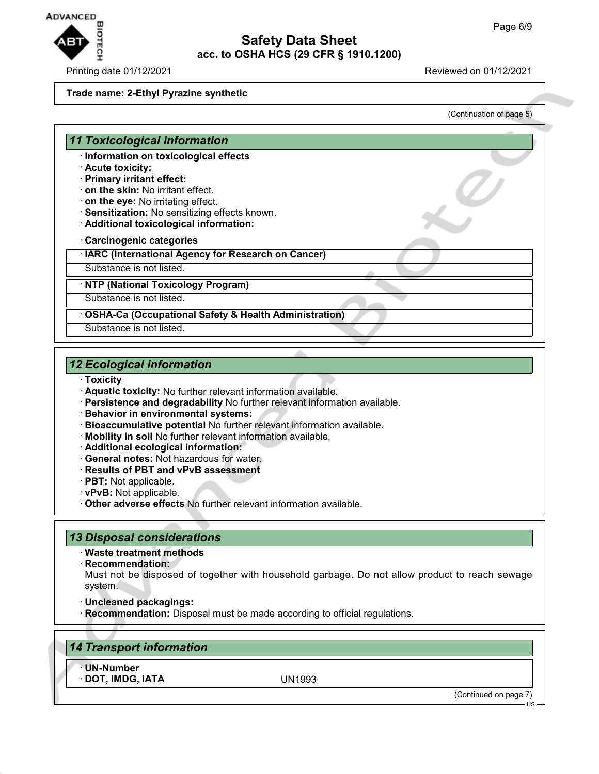

Printing date 01/12/2021 Reviewed on 01/12/2021

#### **Trade name: 2-Ethyl Pyrazine synthetic**

(Continuation of page 5)

### *11 Toxicological information*

- · **Information on toxicological effects**
- · **Acute toxicity:**
- · **Primary irritant effect:**
- · **on the skin:** No irritant effect.
- · **on the eye:** No irritating effect.
- · **Sensitization:** No sensitizing effects known.
- · **Additional toxicological information:**
- · **Carcinogenic categories**
- · **IARC (International Agency for Research on Cancer)**
- Substance is not listed.

· **NTP (National Toxicology Program)**

Substance is not listed.

· **OSHA-Ca (Occupational Safety & Health Administration)**

Substance is not listed.

### *12 Ecological information*

- · **Toxicity**
- · **Aquatic toxicity:** No further relevant information available.
- · **Persistence and degradability** No further relevant information available.
- · **Behavior in environmental systems:**
- · **Bioaccumulative potential** No further relevant information available.
- · **Mobility in soil** No further relevant information available.
- · **Additional ecological information:**
- · **General notes:** Not hazardous for water.
- · **Results of PBT and vPvB assessment**
- · **PBT:** Not applicable.
- · **vPvB:** Not applicable.
- · **Other adverse effects** No further relevant information available.

### *13 Disposal considerations*

- · **Waste treatment methods**
- · **Recommendation:**

Must not be disposed of together with household garbage. Do not allow product to reach sewage system.

- · **Uncleaned packagings:**
- · **Recommendation:** Disposal must be made according to official regulations.

| 14 Transport information       |        |                       |
|--------------------------------|--------|-----------------------|
| · UN-Number<br>DOT, IMDG, IATA | UN1993 |                       |
|                                |        | (Continued on page 7) |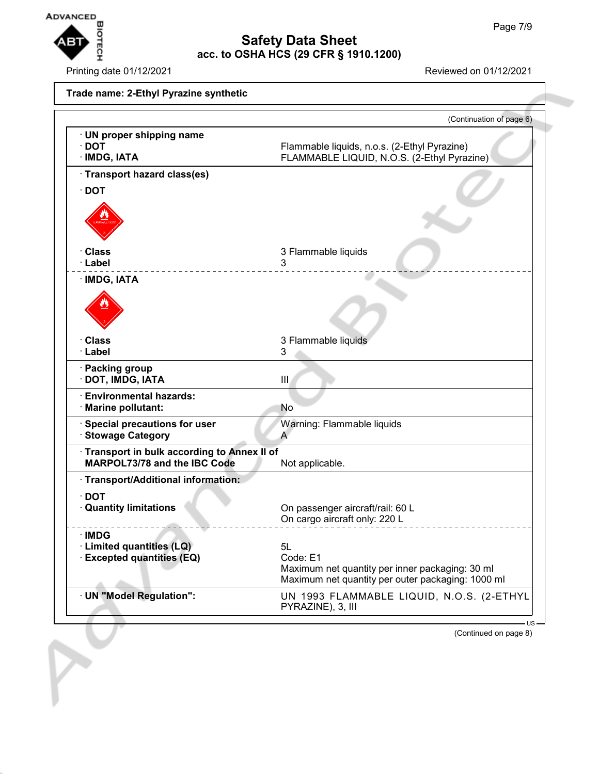

Printing date 01/12/2021 Reviewed on 01/12/2021

## **Trade name: 2-Ethyl Pyrazine synthetic** (Continuation of page 6) · **UN proper shipping name** · **DOT** Flammable liquids, n.o.s. (2-Ethyl Pyrazine) · **IMDG, IATA** FLAMMABLE LIQUID, N.O.S. (2-Ethyl Pyrazine) · **Transport hazard class(es)** · **DOT** · **Class** 3 Flammable liquids · **Label** 3 · **IMDG, IATA** · **Class** 3 Flammable liquids · **Label** 3 · **Packing group** · **DOT, IMDG, IATA** III · **Environmental hazards:** · **Marine pollutant:** No · **Special precautions for user** Warning: Flammable liquids **· Stowage Category A** · **Transport in bulk according to Annex II of MARPOL73/78 and the IBC Code** Not applicable. · **Transport/Additional information:** · **DOT** · **Quantity limitations** On passenger aircraft/rail: 60 L On cargo aircraft only: 220 L · **IMDG** · **Limited quantities (LQ)** 5L

 $\cdot$  **Excepted quantities (EQ)** Code: E1 Maximum net quantity per inner packaging: 30 ml Maximum net quantity per outer packaging: 1000 ml · **UN "Model Regulation":** UN 1993 FLAMMABLE LIQUID, N.O.S. (2-ETHYL PYRAZINE), 3, III

(Continued on page 8)

US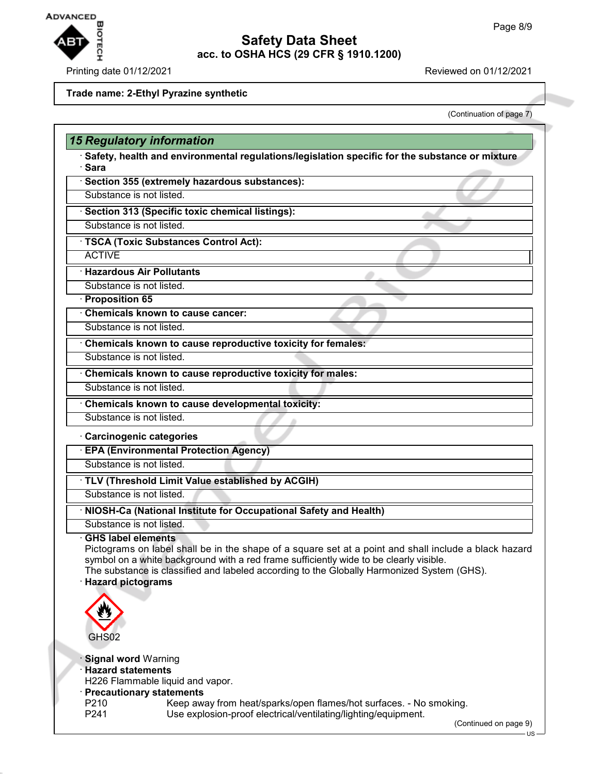

### Printing date 01/12/2021 **Reviewed on 01/12/2021**

#### **Trade name: 2-Ethyl Pyrazine synthetic**

(Continuation of page 7)

| <b>15 Regulatory information</b>                                                                                                                                                                                                                                                                                                                                |  |
|-----------------------------------------------------------------------------------------------------------------------------------------------------------------------------------------------------------------------------------------------------------------------------------------------------------------------------------------------------------------|--|
| Safety, health and environmental regulations/legislation specific for the substance or mixture<br>· Sara                                                                                                                                                                                                                                                        |  |
| · Section 355 (extremely hazardous substances):                                                                                                                                                                                                                                                                                                                 |  |
| Substance is not listed.                                                                                                                                                                                                                                                                                                                                        |  |
| · Section 313 (Specific toxic chemical listings):                                                                                                                                                                                                                                                                                                               |  |
| Substance is not listed.                                                                                                                                                                                                                                                                                                                                        |  |
| · TSCA (Toxic Substances Control Act):                                                                                                                                                                                                                                                                                                                          |  |
| <b>ACTIVE</b>                                                                                                                                                                                                                                                                                                                                                   |  |
| · Hazardous Air Pollutants                                                                                                                                                                                                                                                                                                                                      |  |
| Substance is not listed.                                                                                                                                                                                                                                                                                                                                        |  |
| · Proposition 65                                                                                                                                                                                                                                                                                                                                                |  |
| Chemicals known to cause cancer:                                                                                                                                                                                                                                                                                                                                |  |
| Substance is not listed.                                                                                                                                                                                                                                                                                                                                        |  |
| Chemicals known to cause reproductive toxicity for females:                                                                                                                                                                                                                                                                                                     |  |
| Substance is not listed.                                                                                                                                                                                                                                                                                                                                        |  |
| Chemicals known to cause reproductive toxicity for males:                                                                                                                                                                                                                                                                                                       |  |
| Substance is not listed.                                                                                                                                                                                                                                                                                                                                        |  |
| Chemicals known to cause developmental toxicity:                                                                                                                                                                                                                                                                                                                |  |
| Substance is not listed.                                                                                                                                                                                                                                                                                                                                        |  |
| <b>EPA (Environmental Protection Agency)</b><br>Substance is not listed.<br>· TLV (Threshold Limit Value established by ACGIH)                                                                                                                                                                                                                                  |  |
| Substance is not listed.                                                                                                                                                                                                                                                                                                                                        |  |
| · NIOSH-Ca (National Institute for Occupational Safety and Health)                                                                                                                                                                                                                                                                                              |  |
| Substance is not listed.                                                                                                                                                                                                                                                                                                                                        |  |
| <b>GHS label elements</b><br>Pictograms on label shall be in the shape of a square set at a point and shall include a black hazard<br>symbol on a white background with a red frame sufficiently wide to be clearly visible.<br>The substance is classified and labeled according to the Globally Harmonized System (GHS).<br><b>Hazard pictograms</b><br>GHS02 |  |
| · Signal word Warning                                                                                                                                                                                                                                                                                                                                           |  |

- US-